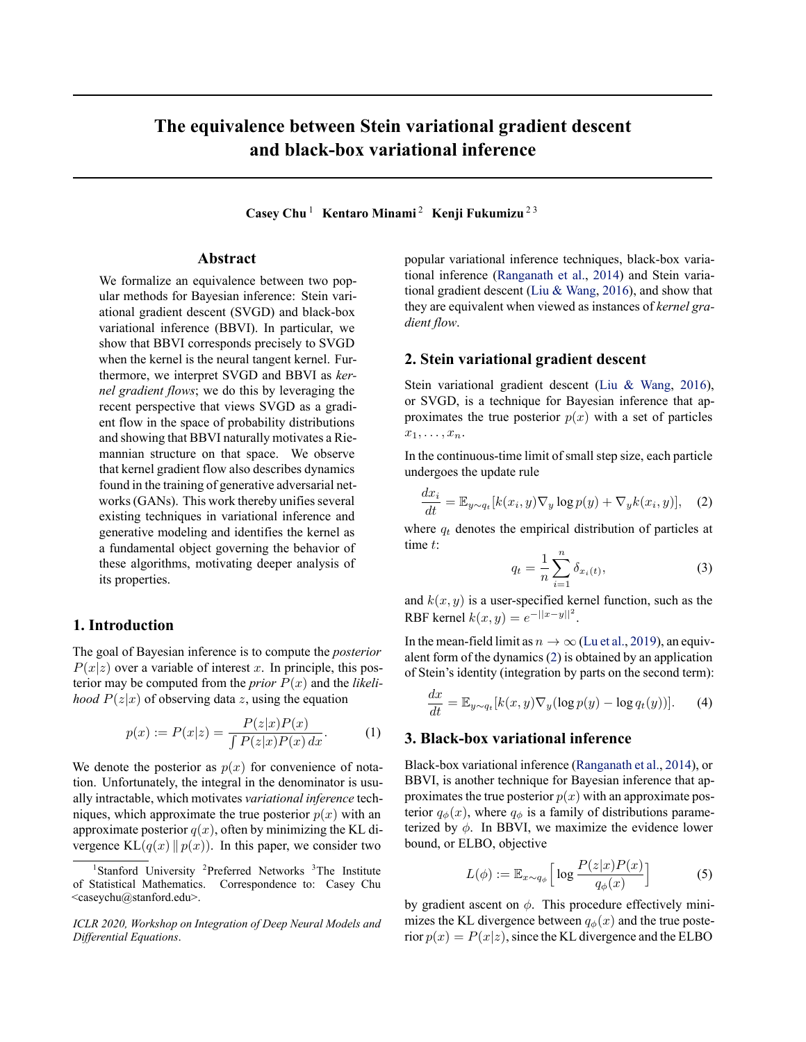# <span id="page-0-0"></span>**The equivalence between Stein variational gradient descent and black-box variational inference**

**Casey Chu** <sup>1</sup> **Kentaro Minami** <sup>2</sup> **Kenji Fukumizu** 2 3

### **Abstract**

We formalize an equivalence between two popular methods for Bayesian inference: Stein variational gradient descent (SVGD) and black-box variational inference (BBVI). In particular, we show that BBVI corresponds precisely to SVGD when the kernel is the neural tangent kernel. Furthermore, we interpret SVGD and BBVI as *kernel gradient flows*; we do this by leveraging the recent perspective that views SVGD as a gradient flow in the space of probability distributions and showing that BBVI naturally motivates a Riemannian structure on that space. We observe that kernel gradient flow also describes dynamics found in the training of generative adversarial networks (GANs). This work thereby unifies several existing techniques in variational inference and generative modeling and identifies the kernel as a fundamental object governing the behavior of these algorithms, motivating deeper analysis of its properties.

## **1. Introduction**

The goal of Bayesian inference is to compute the *posterior*  $P(x|z)$  over a variable of interest *x*. In principle, this posterior may be computed from the *prior*  $P(x)$  and the *likelihood*  $P(z|x)$  of observing data *z*, using the equation

$$
p(x) := P(x|z) = \frac{P(z|x)P(x)}{\int P(z|x)P(x) \, dx}.\tag{1}
$$

We denote the posterior as  $p(x)$  for convenience of notation. Unfortunately, the integral in the denominator is usually intractable, which motivates *variational inference* techniques, which approximate the true posterior  $p(x)$  with an approximate posterior  $q(x)$ , often by minimizing the KL divergence  $KL(q(x) || p(x))$ . In this paper, we consider two

popular variational inference techniques, black-box variational inference([Ranganath et al.,](#page-4-0) [2014\)](#page-4-0) and Stein variational gradient descent [\(Liu & Wang,](#page-4-0) [2016\)](#page-4-0), and show that they are equivalent when viewed as instances of *kernel gradient flow*.

### **2. Stein variational gradient descent**

Stein variational gradient descent([Liu & Wang,](#page-4-0) [2016\)](#page-4-0), or SVGD, is a technique for Bayesian inference that approximates the true posterior  $p(x)$  with a set of particles  $x_1, \ldots, x_n$ .

In the continuous-time limit of small step size, each particle undergoes the update rule

$$
\frac{dx_i}{dt} = \mathbb{E}_{y \sim q_t}[k(x_i, y) \nabla_y \log p(y) + \nabla_y k(x_i, y)], \quad (2)
$$

where  $q_t$  denotes the empirical distribution of particles at time *t*:

$$
q_t = \frac{1}{n} \sum_{i=1}^{n} \delta_{x_i(t)},
$$
\n(3)

and  $k(x, y)$  is a user-specified kernel function, such as the RBF kernel  $k(x, y) = e^{-||x - y||^2}$ .

In the mean-field limit as  $n \to \infty$  [\(Lu et al.,](#page-4-0) [2019\)](#page-4-0), an equivalent form of the dynamics (2) is obtained by an application of Stein's identity (integration by parts on the second term):

$$
\frac{dx}{dt} = \mathbb{E}_{y \sim q_t} [k(x, y) \nabla_y (\log p(y) - \log q_t(y))]. \tag{4}
$$

## **3. Black-box variational inference**

Black-box variational inference([Ranganath et al.](#page-4-0), [2014](#page-4-0)), or BBVI, is another technique for Bayesian inference that approximates the true posterior  $p(x)$  with an approximate posterior  $q_{\phi}(x)$ , where  $q_{\phi}$  is a family of distributions parameterized by  $\phi$ . In BBVI, we maximize the evidence lower bound, or ELBO, objective

$$
L(\phi) := \mathbb{E}_{x \sim q_{\phi}} \left[ \log \frac{P(z|x)P(x)}{q_{\phi}(x)} \right] \tag{5}
$$

by gradient ascent on *ϕ*. This procedure effectively minimizes the KL divergence between  $q_{\phi}(x)$  and the true posterior  $p(x) = P(x|z)$ , since the KL divergence and the ELBO

<sup>&</sup>lt;sup>1</sup>Stanford University <sup>2</sup>Preferred Networks <sup>3</sup>The Institute of Statistical Mathematics. Correspondence to: Casey Chu <caseychu@stanford.edu>.

*ICLR 2020, Workshop on Integration of Deep Neural Models and Differential Equations*.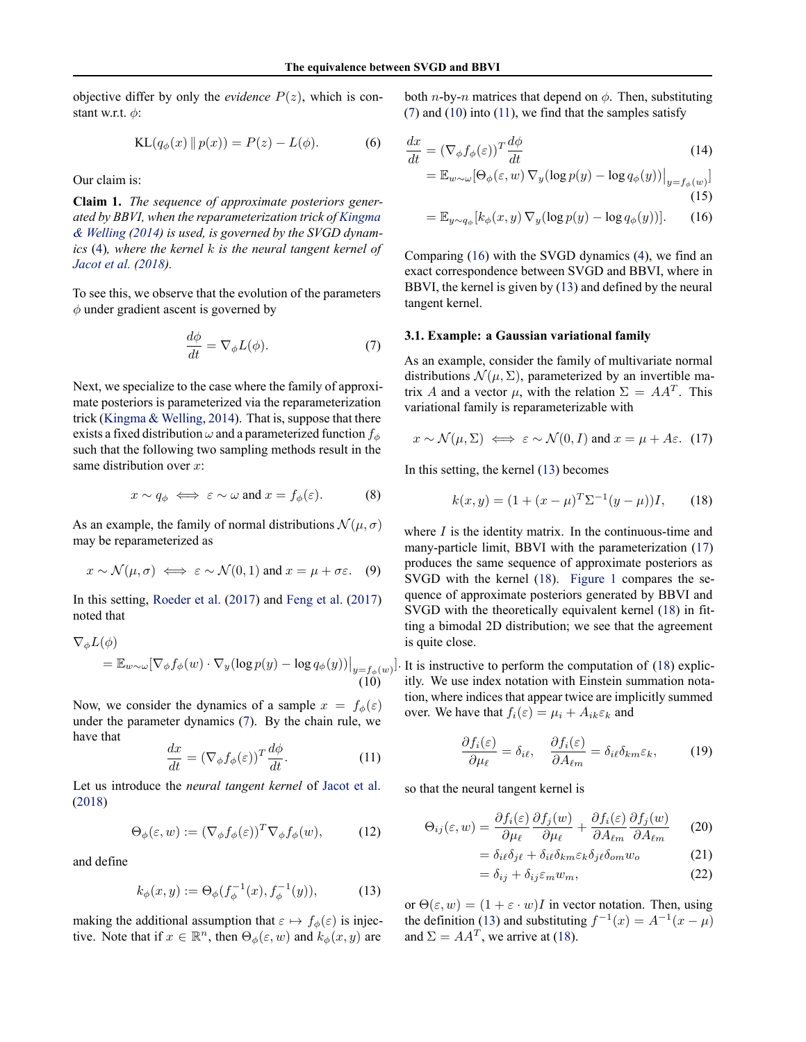<span id="page-1-0"></span>objective differ by only the *evidence*  $P(z)$ , which is constant w.r.t. *ϕ*:

KL
$$
(q_{\phi}(x) \| p(x)) = P(z) - L(\phi).
$$
 (6)

Our claim is:

**Claim 1.** *The sequence of approximate posteriors generated by BBVI, when the reparameterization trick of [Kingma](#page-4-0) [& Welling](#page-4-0) [\(2014](#page-4-0)) is used, is governed by the SVGD dynamics* ([4\)](#page-0-0)*, where the kernel k is the neural tangent kernel of [Jacot et al.](#page-4-0) [\(2018](#page-4-0)).*

To see this, we observe that the evolution of the parameters *ϕ* under gradient ascent is governed by

$$
\frac{d\phi}{dt} = \nabla_{\phi} L(\phi). \tag{7}
$$

Next, we specialize to the case where the family of approximate posteriors is parameterized via the reparameterization trick([Kingma & Welling,](#page-4-0) [2014](#page-4-0)). That is, suppose that there exists a fixed distribution  $\omega$  and a parameterized function  $f_\phi$ such that the following two sampling methods result in the same distribution over *x*:

$$
x \sim q_{\phi} \iff \varepsilon \sim \omega \text{ and } x = f_{\phi}(\varepsilon). \tag{8}
$$

As an example, the family of normal distributions  $\mathcal{N}(\mu, \sigma)$ may be reparameterized as

$$
x \sim \mathcal{N}(\mu, \sigma) \iff \varepsilon \sim \mathcal{N}(0, 1)
$$
 and  $x = \mu + \sigma \varepsilon$ . (9)

In this setting, [Roeder et al.](#page-4-0) [\(2017](#page-4-0)) and [Feng et al.](#page-4-0) ([2017\)](#page-4-0) noted that

$$
\nabla_{\phi} L(\phi)
$$
  
=  $\mathbb{E}_{w \sim \omega} [\nabla_{\phi} f_{\phi}(w) \cdot \nabla_{y} (\log p(y) - \log q_{\phi}(y))|_{y=f_{\phi}(w)}]$   
(10)

Now, we consider the dynamics of a sample  $x = f_\phi(\varepsilon)$ under the parameter dynamics (7). By the chain rule, we have that

$$
\frac{dx}{dt} = (\nabla_{\phi} f_{\phi}(\varepsilon))^{T} \frac{d\phi}{dt}.
$$
\n(11)

Let us introduce the *neural tangent kernel* of [Jacot et al.](#page-4-0) [\(2018](#page-4-0))

$$
\Theta_{\phi}(\varepsilon, w) := (\nabla_{\phi} f_{\phi}(\varepsilon))^T \nabla_{\phi} f_{\phi}(w), \tag{12}
$$

and define

$$
k_{\phi}(x, y) := \Theta_{\phi}(f_{\phi}^{-1}(x), f_{\phi}^{-1}(y)), \tag{13}
$$

making the additional assumption that  $\varepsilon \mapsto f_\phi(\varepsilon)$  is injective. Note that if  $x \in \mathbb{R}^n$ , then  $\Theta_{\phi}(\varepsilon, w)$  and  $k_{\phi}(x, y)$  are

both *n*-by-*n* matrices that depend on  $\phi$ . Then, substituting  $(7)$  and  $(10)$  into  $(11)$ , we find that the samples satisfy

$$
\frac{dx}{dt} = (\nabla_{\phi} f_{\phi}(\varepsilon))^{T} \frac{d\phi}{dt}
$$
\n(14)

$$
= \mathbb{E}_{w \sim \omega} [\Theta_{\phi}(\varepsilon, w) \nabla_y (\log p(y) - \log q_{\phi}(y))]_{y = f_{\phi}(w)}]
$$
(15)

$$
= \mathbb{E}_{y \sim q_{\phi}}[k_{\phi}(x, y) \nabla_y(\log p(y) - \log q_{\phi}(y))]. \tag{16}
$$

Comparing (16) with the SVGD dynamics([4\)](#page-0-0), we find an exact correspondence between SVGD and BBVI, where in BBVI, the kernel is given by (13) and defined by the neural tangent kernel.

#### **3.1. Example: a Gaussian variational family**

As an example, consider the family of multivariate normal distributions  $\mathcal{N}(\mu, \Sigma)$ , parameterized by an invertible matrix *A* and a vector  $\mu$ , with the relation  $\Sigma = AA^T$ . This variational family is reparameterizable with

$$
x \sim \mathcal{N}(\mu, \Sigma) \iff \varepsilon \sim \mathcal{N}(0, I) \text{ and } x = \mu + A\varepsilon.
$$
 (17)

In this setting, the kernel (13) becomes

$$
k(x, y) = (1 + (x - \mu)^{T} \Sigma^{-1} (y - \mu))I, \qquad (18)
$$

where *I* is the identity matrix. In the continuous-time and many-particle limit, BBVI with the parameterization (17) produces the same sequence of approximate posteriors as SVGD with the kernel (18). [Figure 1](#page-2-0) compares the sequence of approximate posteriors generated by BBVI and SVGD with the theoretically equivalent kernel (18) in fitting a bimodal 2D distribution; we see that the agreement is quite close.

]*.* It is instructive to perform the computation of (18) explicitly. We use index notation with Einstein summation notation, where indices that appear twice are implicitly summed over. We have that  $f_i(\varepsilon) = \mu_i + A_{ik} \varepsilon_k$  and

$$
\frac{\partial f_i(\varepsilon)}{\partial \mu_\ell} = \delta_{i\ell}, \quad \frac{\partial f_i(\varepsilon)}{\partial A_{\ell m}} = \delta_{i\ell} \delta_{km} \varepsilon_k, \quad (19)
$$

so that the neural tangent kernel is

$$
\Theta_{ij}(\varepsilon, w) = \frac{\partial f_i(\varepsilon)}{\partial \mu_\ell} \frac{\partial f_j(w)}{\partial \mu_\ell} + \frac{\partial f_i(\varepsilon)}{\partial A_{\ell m}} \frac{\partial f_j(w)}{\partial A_{\ell m}} \qquad (20)
$$

$$
= \delta_{i\ell}\delta_{j\ell} + \delta_{i\ell}\delta_{km}\varepsilon_k\delta_{j\ell}\delta_{om}w_o \tag{21}
$$

$$
= \delta_{ij} + \delta_{ij} \varepsilon_m w_m, \tag{22}
$$

or  $\Theta(\varepsilon, w) = (1 + \varepsilon \cdot w)I$  in vector notation. Then, using the definition (13) and substituting  $f^{-1}(x) = A^{-1}(x - \mu)$ and  $\Sigma = AA^T$ , we arrive at (18).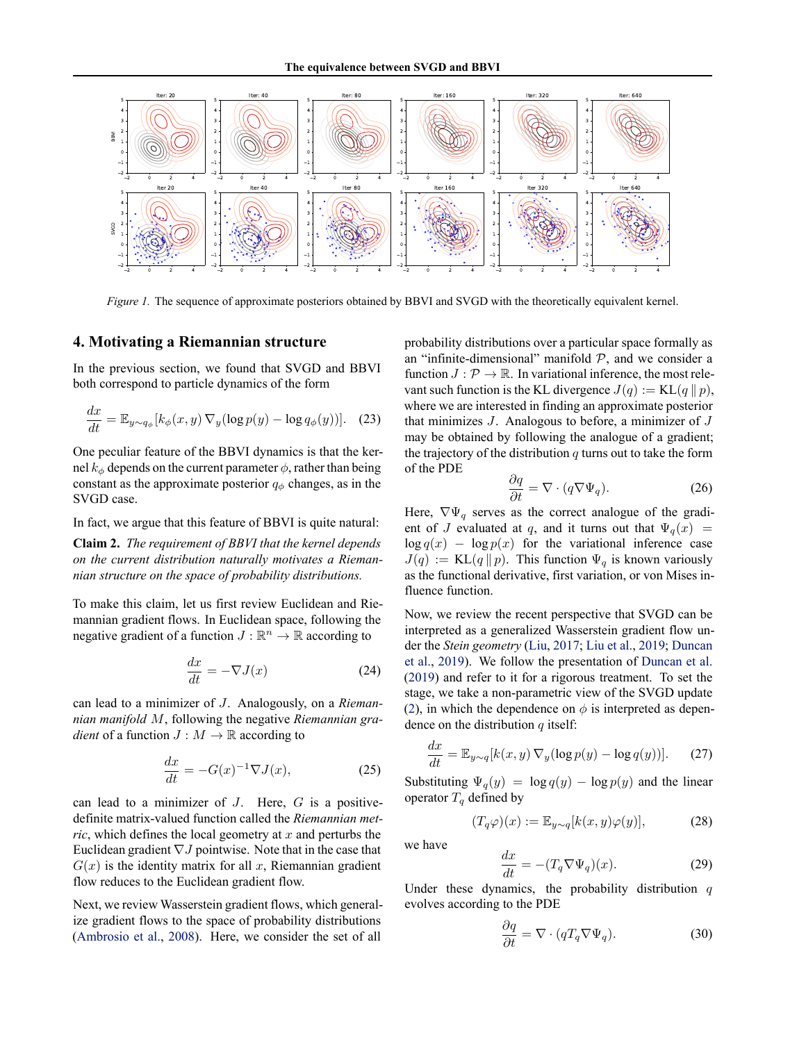<span id="page-2-0"></span>

*Figure 1.* The sequence of approximate posteriors obtained by BBVI and SVGD with the theoretically equivalent kernel.

### **4. Motivating a Riemannian structure**

In the previous section, we found that SVGD and BBVI both correspond to particle dynamics of the form

$$
\frac{dx}{dt} = \mathbb{E}_{y \sim q_{\phi}}[k_{\phi}(x, y) \nabla_y(\log p(y) - \log q_{\phi}(y))]. \quad (23)
$$

One peculiar feature of the BBVI dynamics is that the kernel  $k<sub>φ</sub>$  depends on the current parameter  $\phi$ , rather than being constant as the approximate posterior  $q<sub>\phi</sub>$  changes, as in the SVGD case.

In fact, we argue that this feature of BBVI is quite natural:

**Claim 2.** *The requirement of BBVI that the kernel depends on the current distribution naturally motivates a Riemannian structure on the space of probability distributions.*

To make this claim, let us first review Euclidean and Riemannian gradient flows. In Euclidean space, following the negative gradient of a function  $J : \mathbb{R}^n \to \mathbb{R}$  according to

$$
\frac{dx}{dt} = -\nabla J(x) \tag{24}
$$

can lead to a minimizer of *J*. Analogously, on a *Riemannian manifold M*, following the negative *Riemannian gradient* of a function  $J : M \to \mathbb{R}$  according to

$$
\frac{dx}{dt} = -G(x)^{-1}\nabla J(x),\tag{25}
$$

can lead to a minimizer of *J*. Here, *G* is a positivedefinite matrix-valued function called the *Riemannian metric*, which defines the local geometry at *x* and perturbs the Euclidean gradient *∇J* pointwise. Note that in the case that  $G(x)$  is the identity matrix for all *x*, Riemannian gradient flow reduces to the Euclidean gradient flow.

Next, we review Wasserstein gradient flows, which generalize gradient flows to the space of probability distributions [\(Ambrosio et al.](#page-4-0), [2008\)](#page-4-0). Here, we consider the set of all

probability distributions over a particular space formally as an "infinite-dimensional" manifold  $P$ , and we consider a function  $J: \mathcal{P} \to \mathbb{R}$ . In variational inference, the most relevant such function is the KL divergence  $J(q) := \text{KL}(q || p)$ , where we are interested in finding an approximate posterior that minimizes *J*. Analogous to before, a minimizer of *J* may be obtained by following the analogue of a gradient; the trajectory of the distribution *q* turns out to take the form of the PDE

$$
\frac{\partial q}{\partial t} = \nabla \cdot (q \nabla \Psi_q). \tag{26}
$$

Here,  $\nabla \Psi_q$  serves as the correct analogue of the gradient of *J* evaluated at *q*, and it turns out that  $\Psi_q(x)$  =  $\log q(x) - \log p(x)$  for the variational inference case  $J(q) := \text{KL}(q || p)$ . This function  $\Psi_q$  is known variously as the functional derivative, first variation, or von Mises influence function.

Now, we review the recent perspective that SVGD can be interpreted as a generalized Wasserstein gradient flow under the *Stein geometry* ([Liu,](#page-4-0) [2017](#page-4-0); [Liu et al.,](#page-4-0) [2019](#page-4-0); [Duncan](#page-4-0) [et al.](#page-4-0), [2019\)](#page-4-0). We follow the presentation of [Duncan et al.](#page-4-0) [\(2019](#page-4-0)) and refer to it for a rigorous treatment. To set the stage, we take a non-parametric view of the SVGD update [\(2](#page-0-0)), in which the dependence on  $\phi$  is interpreted as dependence on the distribution *q* itself:

$$
\frac{dx}{dt} = \mathbb{E}_{y \sim q}[k(x, y) \nabla_y(\log p(y) - \log q(y))]. \tag{27}
$$

Substituting  $\Psi_q(y) = \log q(y) - \log p(y)$  and the linear operator  $T_q$  defined by

$$
(T_q \varphi)(x) := \mathbb{E}_{y \sim q}[k(x, y)\varphi(y)], \tag{28}
$$

we have

$$
\frac{dx}{dt} = -(T_q \nabla \Psi_q)(x). \tag{29}
$$

Under these dynamics, the probability distribution *q* evolves according to the PDE

 $\overline{J}$ 

$$
\frac{\partial q}{\partial t} = \nabla \cdot (q T_q \nabla \Psi_q). \tag{30}
$$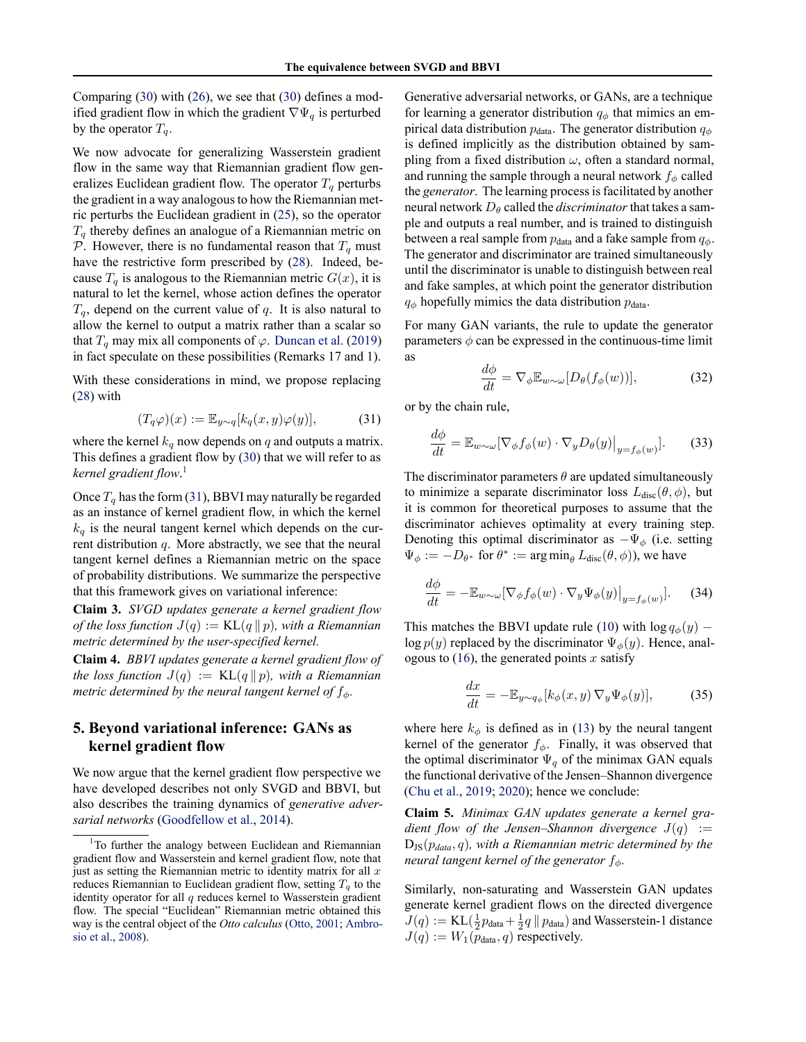Comparing [\(30](#page-2-0)) with [\(26](#page-2-0)), we see that [\(30](#page-2-0)) defines a modified gradient flow in which the gradient *∇*Ψ*<sup>q</sup>* is perturbed by the operator  $T_q$ .

We now advocate for generalizing Wasserstein gradient flow in the same way that Riemannian gradient flow generalizes Euclidean gradient flow. The operator  $T<sub>q</sub>$  perturbs the gradient in a way analogous to how the Riemannian metric perturbs the Euclidean gradient in [\(25](#page-2-0)), so the operator *T<sup>q</sup>* thereby defines an analogue of a Riemannian metric on *P*. However, there is no fundamental reason that  $T_q$  must have the restrictive form prescribed by [\(28](#page-2-0)). Indeed, because  $T_q$  is analogous to the Riemannian metric  $G(x)$ , it is natural to let the kernel, whose action defines the operator  $T_q$ , depend on the current value of  $q$ . It is also natural to allow the kernel to output a matrix rather than a scalar so that  $T_q$  may mix all components of  $\varphi$ . [Duncan et al.](#page-4-0) ([2019\)](#page-4-0) in fact speculate on these possibilities (Remarks 17 and 1).

With these considerations in mind, we propose replacing [\(28](#page-2-0)) with

$$
(T_q \varphi)(x) := \mathbb{E}_{y \sim q}[k_q(x, y)\varphi(y)], \tag{31}
$$

where the kernel  $k_q$  now depends on  $q$  and outputs a matrix. This defines a gradient flow by([30\)](#page-2-0) that we will refer to as *kernel gradient flow*. 1

Once  $T_q$  has the form (31), BBVI may naturally be regarded as an instance of kernel gradient flow, in which the kernel  $k_q$  is the neural tangent kernel which depends on the current distribution *q*. More abstractly, we see that the neural tangent kernel defines a Riemannian metric on the space of probability distributions. We summarize the perspective that this framework gives on variational inference:

**Claim 3.** *SVGD updates generate a kernel gradient flow of the loss function*  $J(q) := \text{KL}(q || p)$ *, with a Riemannian metric determined by the user-specified kernel.*

**Claim 4.** *BBVI updates generate a kernel gradient flow of the loss function*  $J(q) := \text{KL}(q || p)$ *, with a Riemannian metric determined by the neural tangent kernel of fϕ.*

# **5. Beyond variational inference: GANs as kernel gradient flow**

We now argue that the kernel gradient flow perspective we have developed describes not only SVGD and BBVI, but also describes the training dynamics of *generative adversarial networks* ([Goodfellow et al.](#page-4-0), [2014](#page-4-0)).

Generative adversarial networks, or GANs, are a technique for learning a generator distribution  $q_{\phi}$  that mimics an empirical data distribution  $p_{data}$ . The generator distribution  $q_{\phi}$ is defined implicitly as the distribution obtained by sampling from a fixed distribution *ω*, often a standard normal, and running the sample through a neural network  $f_\phi$  called the *generator*. The learning process is facilitated by another neural network *D<sup>θ</sup>* called the *discriminator*that takes a sample and outputs a real number, and is trained to distinguish between a real sample from  $p_{data}$  and a fake sample from  $q_{\phi}$ . The generator and discriminator are trained simultaneously until the discriminator is unable to distinguish between real and fake samples, at which point the generator distribution  $q_{\phi}$  hopefully mimics the data distribution  $p_{data}$ .

For many GAN variants, the rule to update the generator parameters  $\phi$  can be expressed in the continuous-time limit as

$$
\frac{d\phi}{dt} = \nabla_{\phi} \mathbb{E}_{w \sim \omega} [D_{\theta}(f_{\phi}(w))],\tag{32}
$$

or by the chain rule,

$$
\frac{d\phi}{dt} = \mathbb{E}_{w \sim \omega} [\nabla_{\phi} f_{\phi}(w) \cdot \nabla_{y} D_{\theta}(y)|_{y = f_{\phi}(w)}].
$$
 (33)

The discriminator parameters  $\theta$  are updated simultaneously to minimize a separate discriminator loss  $L_{disc}(\theta, \phi)$ , but it is common for theoretical purposes to assume that the discriminator achieves optimality at every training step. Denoting this optimal discriminator as *−*Ψ*<sup>ϕ</sup>* (i.e. setting  $\Psi_{\phi} := -D_{\theta^*}$  for  $\theta^* := \arg \min_{\theta} L_{\text{disc}}(\theta, \phi)$ , we have

$$
\frac{d\phi}{dt} = -\mathbb{E}_{w \sim \omega} [\nabla_{\phi} f_{\phi}(w) \cdot \nabla_{y} \Psi_{\phi}(y)|_{y = f_{\phi}(w)}].
$$
 (34)

Thismatches the BBVI update rule ([10\)](#page-1-0) with  $\log q_{\phi}(y)$  –  $\log p(y)$  replaced by the discriminator  $\Psi_{\phi}(y)$ . Hence, analogous to [\(16](#page-1-0)), the generated points *x* satisfy

$$
\frac{dx}{dt} = -\mathbb{E}_{y \sim q_{\phi}}[k_{\phi}(x, y) \nabla_y \Psi_{\phi}(y)],\tag{35}
$$

where here  $k_{\phi}$  is defined as in [\(13](#page-1-0)) by the neural tangent kernel of the generator  $f_{\phi}$ . Finally, it was observed that the optimal discriminator  $\Psi_q$  of the minimax GAN equals the functional derivative of the Jensen–Shannon divergence [\(Chu et al.,](#page-4-0) [2019;](#page-4-0) [2020\)](#page-4-0); hence we conclude:

**Claim 5.** *Minimax GAN updates generate a kernel gradient flow of the Jensen–Shannon divergence*  $J(q) :=$ DJS(*pdata, q*)*, with a Riemannian metric determined by the neural tangent kernel of the generator fϕ.*

Similarly, non-saturating and Wasserstein GAN updates generate kernel gradient flows on the directed divergence  $J(q) := \text{KL}(\frac{1}{2}p_{\text{data}} + \frac{1}{2}q \|\ p_{\text{data}})$  and Wasserstein-1 distance  $J(q) := W_1(p_{data}, q)$  respectively.

 $1$ To further the analogy between Euclidean and Riemannian gradient flow and Wasserstein and kernel gradient flow, note that just as setting the Riemannian metric to identity matrix for all *x* reduces Riemannian to Euclidean gradient flow, setting *T<sup>q</sup>* to the identity operator for all *q* reduces kernel to Wasserstein gradient flow. The special "Euclidean" Riemannian metric obtained this way is the central object of the *Otto calculus* ([Otto,](#page-4-0) [2001;](#page-4-0) [Ambro](#page-4-0)[sio et al.,](#page-4-0) [2008\)](#page-4-0).